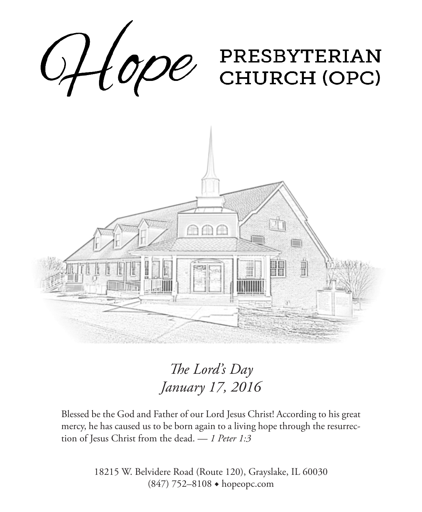

## *The Lord's Day January 17, 2016*

Blessed be the God and Father of our Lord Jesus Christ! According to his great mercy, he has caused us to be born again to a living hope through the resurrection of Jesus Christ from the dead. — *1 Peter 1:3*

> 18215 W. Belvidere Road (Route 120), Grayslake, IL 60030 (847) 752–8108 ◆ hopeopc.com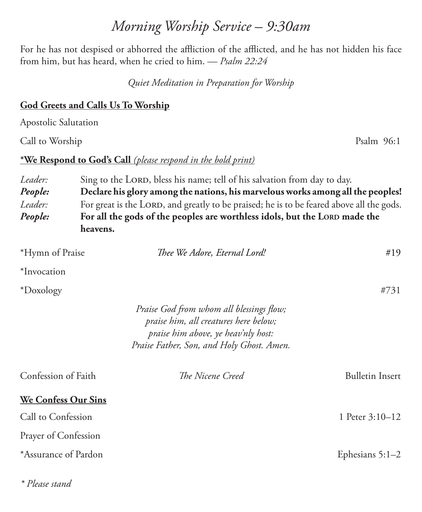### *Morning Worship Service – 9:30am*

For he has not despised or abhorred the affliction of the afflicted, and he has not hidden his face from him, but has heard, when he cried to him. — *Psalm 22:24*

*Quiet Meditation in Preparation for Worship*

#### **God Greets and Calls Us To Worship**

Apostolic Salutation

Call to Worship Psalm 96:1

#### **\*We Respond to God's Call** *(please respond in the bold print)*

*Leader:* Sing to the LORD, bless his name; tell of his salvation from day to day. *People:* **Declare his glory among the nations, his marvelous works among all the peoples!** *Leader:* For great is the LORD, and greatly to be praised; he is to be feared above all the gods. *People:* **For all the gods of the peoples are worthless idols, but the LORD made the heavens.**

| *Hymn of Praise            | Thee We Adore, Eternal Lord!                                                                                                                                          | #19                    |
|----------------------------|-----------------------------------------------------------------------------------------------------------------------------------------------------------------------|------------------------|
| *Invocation                |                                                                                                                                                                       |                        |
| *Doxology                  |                                                                                                                                                                       | #731                   |
|                            | Praise God from whom all blessings flow;<br>praise him, all creatures here below;<br>praise him above, ye heav'nly host:<br>Praise Father, Son, and Holy Ghost. Amen. |                        |
| Confession of Faith        | The Nicene Creed                                                                                                                                                      | <b>Bulletin Insert</b> |
| <b>We Confess Our Sins</b> |                                                                                                                                                                       |                        |
| Call to Confession         |                                                                                                                                                                       | 1 Peter 3:10-12        |
| Prayer of Confession       |                                                                                                                                                                       |                        |
| *Assurance of Pardon       |                                                                                                                                                                       | Ephesians $5:1-2$      |

*\* Please stand*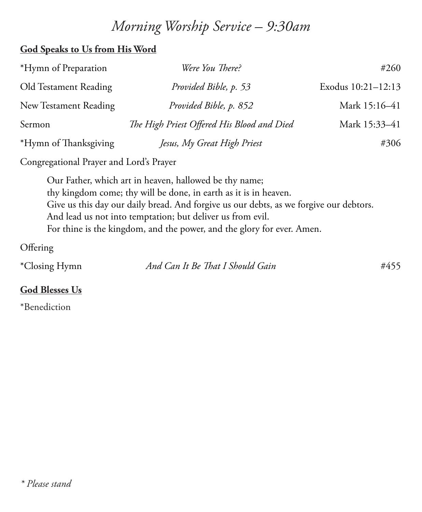### *Morning Worship Service – 9:30am*

#### **God Speaks to Us from His Word**

| *Hymn of Preparation  | Were You There?                            | #260               |
|-----------------------|--------------------------------------------|--------------------|
| Old Testament Reading | Provided Bible, p. 53                      | Exodus 10:21-12:13 |
| New Testament Reading | Provided Bible, p. 852                     | Mark 15:16-41      |
| Sermon                | The High Priest Offered His Blood and Died | Mark 15:33-41      |
| *Hymn of Thanksgiving | Jesus, My Great High Priest                | #306               |

Congregational Prayer and Lord's Prayer

Our Father, which art in heaven, hallowed be thy name; thy kingdom come; thy will be done, in earth as it is in heaven. Give us this day our daily bread. And forgive us our debts, as we forgive our debtors. And lead us not into temptation; but deliver us from evil. For thine is the kingdom, and the power, and the glory for ever. Amen.

**Offering** 

| *Closing Hymn | And Can It Be That I Should Gain | #455 |
|---------------|----------------------------------|------|
|---------------|----------------------------------|------|

#### **God Blesses Us**

\*Benediction